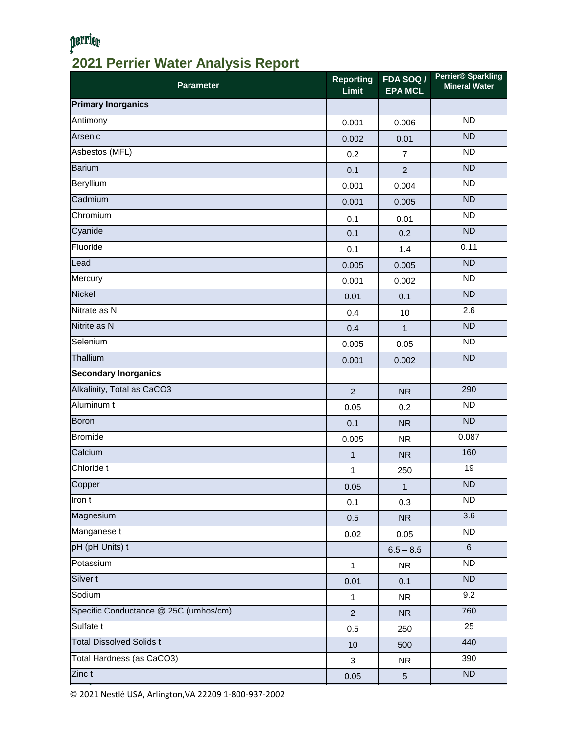## perrier **2021 Perrier Water Analysis Report**

| <b>Parameter</b>                      | <b>Reporting</b><br>Limit | <b>FDA SOQ /</b><br><b>EPA MCL</b> | <b>Perrier® Sparkling</b><br><b>Mineral Water</b> |
|---------------------------------------|---------------------------|------------------------------------|---------------------------------------------------|
| <b>Primary Inorganics</b>             |                           |                                    |                                                   |
| Antimony                              | 0.001                     | 0.006                              | <b>ND</b>                                         |
| Arsenic                               | 0.002                     | 0.01                               | <b>ND</b>                                         |
| Asbestos (MFL)                        | 0.2                       | $\overline{7}$                     | $\overline{ND}$                                   |
| Barium                                | 0.1                       | $\overline{2}$                     | <b>ND</b>                                         |
| Beryllium                             | 0.001                     | 0.004                              | <b>ND</b>                                         |
| Cadmium                               | 0.001                     | 0.005                              | <b>ND</b>                                         |
| Chromium                              | 0.1                       | 0.01                               | <b>ND</b>                                         |
| Cyanide                               | 0.1                       | 0.2                                | $\overline{ND}$                                   |
| Fluoride                              | 0.1                       | 1.4                                | 0.11                                              |
| Lead                                  | 0.005                     | 0.005                              | ND                                                |
| Mercury                               | 0.001                     | 0.002                              | <b>ND</b>                                         |
| <b>Nickel</b>                         | 0.01                      | 0.1                                | ND                                                |
| Nitrate as N                          | 0.4                       | 10                                 | 2.6                                               |
| Nitrite as N                          | 0.4                       | $\overline{1}$                     | <b>ND</b>                                         |
| Selenium                              | 0.005                     | 0.05                               | <b>ND</b>                                         |
| Thallium                              | 0.001                     | 0.002                              | $\overline{ND}$                                   |
| <b>Secondary Inorganics</b>           |                           |                                    |                                                   |
| Alkalinity, Total as CaCO3            | $\overline{2}$            | <b>NR</b>                          | 290                                               |
| Aluminum t                            | 0.05                      | 0.2                                | <b>ND</b>                                         |
| <b>Boron</b>                          | 0.1                       | <b>NR</b>                          | <b>ND</b>                                         |
| <b>Bromide</b>                        | 0.005                     | <b>NR</b>                          | 0.087                                             |
| Calcium                               | $\mathbf{1}$              | <b>NR</b>                          | 160                                               |
| Chloride t                            | 1                         | 250                                | 19                                                |
| Copper                                | 0.05                      | $\mathbf{1}$                       | $\overline{ND}$                                   |
| Iron t                                | 0.1                       | 0.3                                | <b>ND</b>                                         |
| Magnesium                             | 0.5                       | <b>NR</b>                          | 3.6                                               |
| Manganese t                           | 0.02                      | 0.05                               | <b>ND</b>                                         |
| pH (pH Units) t                       |                           | $6.5 - 8.5$                        | $\,6\,$                                           |
| Potassium                             | $\mathbf{1}$              | <b>NR</b>                          | ND                                                |
| Silver t                              | 0.01                      | 0.1                                | ND                                                |
| Sodium                                | $\mathbf{1}$              | <b>NR</b>                          | 9.2                                               |
| Specific Conductance @ 25C (umhos/cm) | $\overline{2}$            | <b>NR</b>                          | 760                                               |
| Sulfate t                             | 0.5                       | 250                                | 25                                                |
| <b>Total Dissolved Solids t</b>       | 10                        | 500                                | 440                                               |
| Total Hardness (as CaCO3)             | 3                         | <b>NR</b>                          | 390                                               |
| Zinc t                                | 0.05                      | $\sqrt{5}$                         | $\overline{ND}$                                   |

© 2021 Nestlé USA, Arlington,VA 22209 1-800-937-2002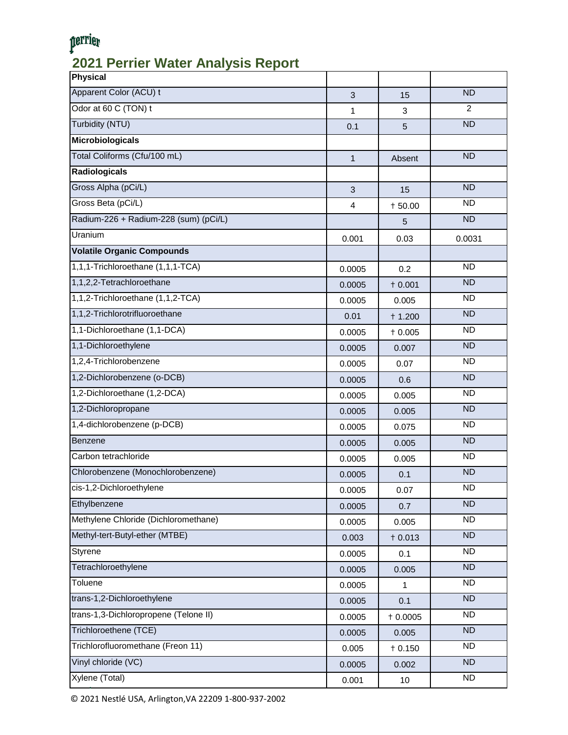# perrier

## **2021 Perrier Water Analysis Report**

| <b>Physical</b>                       |              |           |                |
|---------------------------------------|--------------|-----------|----------------|
| Apparent Color (ACU) t                | 3            | 15        | <b>ND</b>      |
| Odor at 60 C (TON) t                  | 1            | 3         | $\overline{2}$ |
| Turbidity (NTU)                       | 0.1          | 5         | <b>ND</b>      |
| <b>Microbiologicals</b>               |              |           |                |
| Total Coliforms (Cfu/100 mL)          | $\mathbf{1}$ | Absent    | <b>ND</b>      |
| <b>Radiologicals</b>                  |              |           |                |
| Gross Alpha (pCi/L)                   | 3            | 15        | <b>ND</b>      |
| Gross Beta (pCi/L)                    | 4            | $+50.00$  | <b>ND</b>      |
| Radium-226 + Radium-228 (sum) (pCi/L) |              | 5         | <b>ND</b>      |
| Uranium                               | 0.001        | 0.03      | 0.0031         |
| <b>Volatile Organic Compounds</b>     |              |           |                |
| 1,1,1-Trichloroethane (1,1,1-TCA)     | 0.0005       | 0.2       | <b>ND</b>      |
| 1,1,2,2-Tetrachloroethane             | 0.0005       | $+0.001$  | <b>ND</b>      |
| 1,1,2-Trichloroethane (1,1,2-TCA)     | 0.0005       | 0.005     | <b>ND</b>      |
| 1,1,2-Trichlorotrifluoroethane        | 0.01         | $+ 1.200$ | <b>ND</b>      |
| 1,1-Dichloroethane (1,1-DCA)          | 0.0005       | $+0.005$  | <b>ND</b>      |
| 1,1-Dichloroethylene                  | 0.0005       | 0.007     | <b>ND</b>      |
| 1,2,4-Trichlorobenzene                | 0.0005       | 0.07      | <b>ND</b>      |
| 1,2-Dichlorobenzene (o-DCB)           | 0.0005       | 0.6       | <b>ND</b>      |
| 1,2-Dichloroethane (1,2-DCA)          | 0.0005       | 0.005     | <b>ND</b>      |
| 1,2-Dichloropropane                   | 0.0005       | 0.005     | <b>ND</b>      |
| 1,4-dichlorobenzene (p-DCB)           | 0.0005       | 0.075     | <b>ND</b>      |
| Benzene                               | 0.0005       | 0.005     | <b>ND</b>      |
| Carbon tetrachloride                  | 0.0005       | 0.005     | <b>ND</b>      |
| Chlorobenzene (Monochlorobenzene)     | 0.0005       | 0.1       | <b>ND</b>      |
| cis-1,2-Dichloroethylene              | 0.0005       | 0.07      | ND             |
| Ethylbenzene                          | 0.0005       | 0.7       | <b>ND</b>      |
| Methylene Chloride (Dichloromethane)  | 0.0005       | 0.005     | <b>ND</b>      |
| Methyl-tert-Butyl-ether (MTBE)        | 0.003        | $+0.013$  | <b>ND</b>      |
| Styrene                               | 0.0005       | 0.1       | <b>ND</b>      |
| Tetrachloroethylene                   | 0.0005       | 0.005     | <b>ND</b>      |
| Toluene                               | 0.0005       | 1         | <b>ND</b>      |
| trans-1,2-Dichloroethylene            | 0.0005       | 0.1       | <b>ND</b>      |
| trans-1,3-Dichloropropene (Telone II) | 0.0005       | $+0.0005$ | <b>ND</b>      |
| Trichloroethene (TCE)                 | 0.0005       | 0.005     | <b>ND</b>      |
| Trichlorofluoromethane (Freon 11)     | 0.005        | $+0.150$  | <b>ND</b>      |
| Vinyl chloride (VC)                   | 0.0005       | 0.002     | <b>ND</b>      |
| Xylene (Total)                        | 0.001        | $10\,$    | <b>ND</b>      |

© 2021 Nestlé USA, Arlington,VA 22209 1-800-937-2002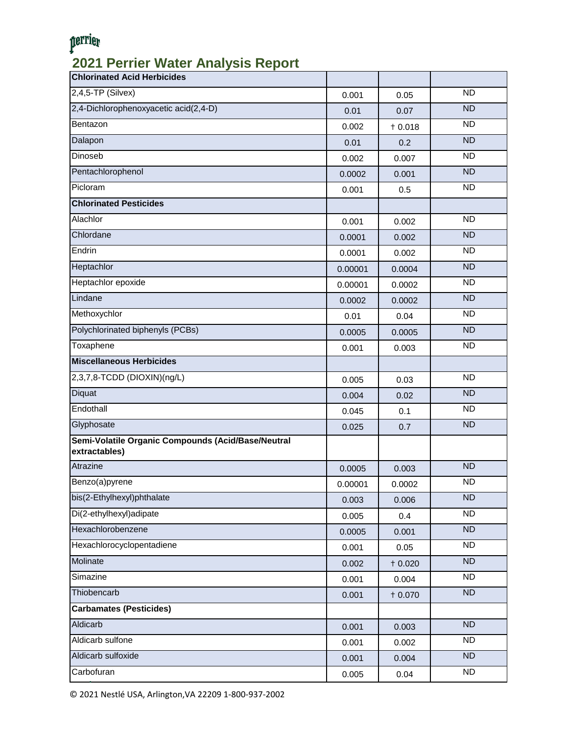# perrier

### **2021 Perrier Water Analysis Report**

| <b>Chlorinated Acid Herbicides</b>                                  |         |          |           |
|---------------------------------------------------------------------|---------|----------|-----------|
| 2,4,5-TP (Silvex)                                                   | 0.001   | 0.05     | <b>ND</b> |
| 2,4-Dichlorophenoxyacetic acid(2,4-D)                               | 0.01    | 0.07     | <b>ND</b> |
| Bentazon                                                            | 0.002   | $+0.018$ | <b>ND</b> |
| Dalapon                                                             | 0.01    | 0.2      | <b>ND</b> |
| Dinoseb                                                             | 0.002   | 0.007    | <b>ND</b> |
| Pentachlorophenol                                                   | 0.0002  | 0.001    | <b>ND</b> |
| Picloram                                                            | 0.001   | 0.5      | <b>ND</b> |
| <b>Chlorinated Pesticides</b>                                       |         |          |           |
| Alachlor                                                            | 0.001   | 0.002    | <b>ND</b> |
| Chlordane                                                           | 0.0001  | 0.002    | <b>ND</b> |
| Endrin                                                              | 0.0001  | 0.002    | <b>ND</b> |
| Heptachlor                                                          | 0.00001 | 0.0004   | <b>ND</b> |
| Heptachlor epoxide                                                  | 0.00001 | 0.0002   | <b>ND</b> |
| Lindane                                                             | 0.0002  | 0.0002   | <b>ND</b> |
| Methoxychlor                                                        | 0.01    | 0.04     | <b>ND</b> |
| Polychlorinated biphenyls (PCBs)                                    | 0.0005  | 0.0005   | <b>ND</b> |
| Toxaphene                                                           | 0.001   | 0.003    | <b>ND</b> |
| <b>Miscellaneous Herbicides</b>                                     |         |          |           |
| 2,3,7,8-TCDD (DIOXIN)(ng/L)                                         | 0.005   | 0.03     | <b>ND</b> |
| <b>Diquat</b>                                                       | 0.004   | 0.02     | <b>ND</b> |
| Endothall                                                           | 0.045   | 0.1      | <b>ND</b> |
| Glyphosate                                                          | 0.025   | 0.7      | <b>ND</b> |
| Semi-Volatile Organic Compounds (Acid/Base/Neutral<br>extractables) |         |          |           |
| Atrazine                                                            | 0.0005  | 0.003    | <b>ND</b> |
| Benzo(a)pyrene                                                      | 0.00001 | 0.0002   | <b>ND</b> |
| bis(2-Ethylhexyl)phthalate                                          | 0.003   | 0.006    | <b>ND</b> |
| Di(2-ethylhexyl)adipate                                             | 0.005   | 0.4      | <b>ND</b> |
| Hexachlorobenzene                                                   | 0.0005  | 0.001    | <b>ND</b> |
| Hexachlorocyclopentadiene                                           | 0.001   | 0.05     | <b>ND</b> |
| Molinate                                                            | 0.002   | $+0.020$ | <b>ND</b> |
| Simazine                                                            | 0.001   | 0.004    | <b>ND</b> |
| Thiobencarb                                                         | 0.001   | $+0.070$ | ND        |
| <b>Carbamates (Pesticides)</b>                                      |         |          |           |
| Aldicarb                                                            | 0.001   | 0.003    | <b>ND</b> |
| Aldicarb sulfone                                                    | 0.001   | 0.002    | ND        |
| Aldicarb sulfoxide                                                  | 0.001   | 0.004    | ND        |
| Carbofuran                                                          | 0.005   | 0.04     | ND        |

© 2021 Nestlé USA, Arlington,VA 22209 1-800-937-2002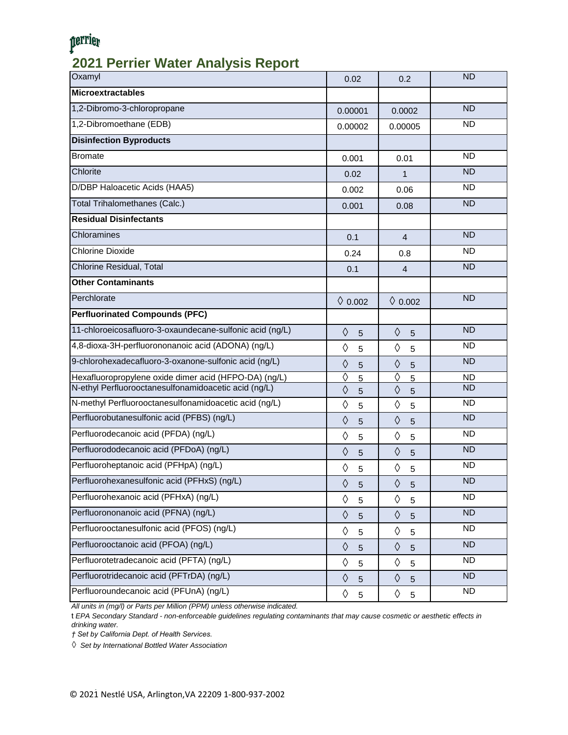## perrier

#### **2021 Perrier Water Analysis Report**

| <b>Microextractables</b><br>1,2-Dibromo-3-chloropropane<br><b>ND</b><br>0.00001<br>0.0002<br>1,2-Dibromoethane (EDB)<br><b>ND</b><br>0.00002<br>0.00005<br><b>Disinfection Byproducts</b><br><b>ND</b><br><b>Bromate</b><br>0.001<br>0.01<br>Chlorite<br><b>ND</b><br>0.02<br>$\mathbf{1}$<br><b>ND</b><br>D/DBP Haloacetic Acids (HAA5)<br>0.002<br>0.06<br><b>ND</b><br>Total Trihalomethanes (Calc.)<br>0.001<br>0.08<br><b>Residual Disinfectants</b><br><b>ND</b><br>Chloramines<br>0.1<br>$\overline{4}$<br><b>Chlorine Dioxide</b><br><b>ND</b><br>0.24<br>0.8<br>Chlorine Residual, Total<br><b>ND</b><br>$\overline{4}$<br>0.1<br><b>Other Contaminants</b><br><b>ND</b><br>Perchlorate<br>$\lozenge$ 0.002<br>$\lozenge$ 0.002<br><b>Perfluorinated Compounds (PFC)</b><br>11-chloroeicosafluoro-3-oxaundecane-sulfonic acid (ng/L)<br><b>ND</b><br>$\Diamond$<br>$\Diamond$<br>5<br>5<br>4,8-dioxa-3H-perfluorononanoic acid (ADONA) (ng/L)<br><b>ND</b><br>♦<br>♦<br>5<br>5<br>9-chlorohexadecafluoro-3-oxanone-sulfonic acid (ng/L)<br><b>ND</b><br>$\Diamond$<br>♦<br>5<br>5<br>♦<br>♦<br>Hexafluoropropylene oxide dimer acid (HFPO-DA) (ng/L)<br><b>ND</b><br>$5\overline{}$<br>5<br>N-ethyl Perfluorooctanesulfonamidoacetic acid (ng/L)<br><b>ND</b><br>♦<br>♦<br>5<br>5<br>N-methyl Perfluorooctanesulfonamidoacetic acid (ng/L)<br><b>ND</b><br>♦<br>♦<br>5<br>$\overline{5}$<br>Perfluorobutanesulfonic acid (PFBS) (ng/L)<br><b>ND</b><br>$\Diamond$<br>$\Diamond$<br>5<br>5<br>Perfluorodecanoic acid (PFDA) (ng/L)<br><b>ND</b><br>♦<br>♦<br>5<br>5<br>Perfluorododecanoic acid (PFDoA) (ng/L)<br><b>ND</b><br>♦<br>♦<br>5<br>5<br>Perfluoroheptanoic acid (PFHpA) (ng/L)<br><b>ND</b><br>♦<br>♦<br>5<br>5<br>Perfluorohexanesulfonic acid (PFHxS) (ng/L)<br><b>ND</b><br>♦<br>♦<br>5<br>$\mathbf 5$<br>Perfluorohexanoic acid (PFHxA) (ng/L)<br><b>ND</b><br>♦<br>♦<br>5<br>$\overline{5}$<br>Perfluorononanoic acid (PFNA) (ng/L)<br><b>ND</b><br>$\Diamond$<br>♦<br>5<br>$5\phantom{.0}$<br>Perfluorooctanesulfonic acid (PFOS) (ng/L)<br><b>ND</b><br>♦<br>♦<br>5<br>$\mathbf 5$<br>Perfluorooctanoic acid (PFOA) (ng/L)<br><b>ND</b><br>$\Diamond$<br>♦<br>5<br>$\overline{5}$<br>Perfluorotetradecanoic acid (PFTA) (ng/L)<br><b>ND</b><br>♦<br>♦<br>5<br>$\overline{5}$<br>Perfluorotridecanoic acid (PFTrDA) (ng/L)<br><b>ND</b><br>$\Diamond$<br>♦<br>$5\phantom{.0}$<br>$\overline{5}$<br>Perfluoroundecanoic acid (PFUnA) (ng/L)<br><b>ND</b><br>♦<br>♦<br>5<br>5 | Oxamyl | 0.02 | 0.2 | <b>ND</b> |
|------------------------------------------------------------------------------------------------------------------------------------------------------------------------------------------------------------------------------------------------------------------------------------------------------------------------------------------------------------------------------------------------------------------------------------------------------------------------------------------------------------------------------------------------------------------------------------------------------------------------------------------------------------------------------------------------------------------------------------------------------------------------------------------------------------------------------------------------------------------------------------------------------------------------------------------------------------------------------------------------------------------------------------------------------------------------------------------------------------------------------------------------------------------------------------------------------------------------------------------------------------------------------------------------------------------------------------------------------------------------------------------------------------------------------------------------------------------------------------------------------------------------------------------------------------------------------------------------------------------------------------------------------------------------------------------------------------------------------------------------------------------------------------------------------------------------------------------------------------------------------------------------------------------------------------------------------------------------------------------------------------------------------------------------------------------------------------------------------------------------------------------------------------------------------------------------------------------------------------------------------------------------------------------------------------------------------------------------------------------------------------------------------------------------------------------------------------------------------------------------------|--------|------|-----|-----------|
|                                                                                                                                                                                                                                                                                                                                                                                                                                                                                                                                                                                                                                                                                                                                                                                                                                                                                                                                                                                                                                                                                                                                                                                                                                                                                                                                                                                                                                                                                                                                                                                                                                                                                                                                                                                                                                                                                                                                                                                                                                                                                                                                                                                                                                                                                                                                                                                                                                                                                                      |        |      |     |           |
|                                                                                                                                                                                                                                                                                                                                                                                                                                                                                                                                                                                                                                                                                                                                                                                                                                                                                                                                                                                                                                                                                                                                                                                                                                                                                                                                                                                                                                                                                                                                                                                                                                                                                                                                                                                                                                                                                                                                                                                                                                                                                                                                                                                                                                                                                                                                                                                                                                                                                                      |        |      |     |           |
|                                                                                                                                                                                                                                                                                                                                                                                                                                                                                                                                                                                                                                                                                                                                                                                                                                                                                                                                                                                                                                                                                                                                                                                                                                                                                                                                                                                                                                                                                                                                                                                                                                                                                                                                                                                                                                                                                                                                                                                                                                                                                                                                                                                                                                                                                                                                                                                                                                                                                                      |        |      |     |           |
|                                                                                                                                                                                                                                                                                                                                                                                                                                                                                                                                                                                                                                                                                                                                                                                                                                                                                                                                                                                                                                                                                                                                                                                                                                                                                                                                                                                                                                                                                                                                                                                                                                                                                                                                                                                                                                                                                                                                                                                                                                                                                                                                                                                                                                                                                                                                                                                                                                                                                                      |        |      |     |           |
|                                                                                                                                                                                                                                                                                                                                                                                                                                                                                                                                                                                                                                                                                                                                                                                                                                                                                                                                                                                                                                                                                                                                                                                                                                                                                                                                                                                                                                                                                                                                                                                                                                                                                                                                                                                                                                                                                                                                                                                                                                                                                                                                                                                                                                                                                                                                                                                                                                                                                                      |        |      |     |           |
|                                                                                                                                                                                                                                                                                                                                                                                                                                                                                                                                                                                                                                                                                                                                                                                                                                                                                                                                                                                                                                                                                                                                                                                                                                                                                                                                                                                                                                                                                                                                                                                                                                                                                                                                                                                                                                                                                                                                                                                                                                                                                                                                                                                                                                                                                                                                                                                                                                                                                                      |        |      |     |           |
|                                                                                                                                                                                                                                                                                                                                                                                                                                                                                                                                                                                                                                                                                                                                                                                                                                                                                                                                                                                                                                                                                                                                                                                                                                                                                                                                                                                                                                                                                                                                                                                                                                                                                                                                                                                                                                                                                                                                                                                                                                                                                                                                                                                                                                                                                                                                                                                                                                                                                                      |        |      |     |           |
|                                                                                                                                                                                                                                                                                                                                                                                                                                                                                                                                                                                                                                                                                                                                                                                                                                                                                                                                                                                                                                                                                                                                                                                                                                                                                                                                                                                                                                                                                                                                                                                                                                                                                                                                                                                                                                                                                                                                                                                                                                                                                                                                                                                                                                                                                                                                                                                                                                                                                                      |        |      |     |           |
|                                                                                                                                                                                                                                                                                                                                                                                                                                                                                                                                                                                                                                                                                                                                                                                                                                                                                                                                                                                                                                                                                                                                                                                                                                                                                                                                                                                                                                                                                                                                                                                                                                                                                                                                                                                                                                                                                                                                                                                                                                                                                                                                                                                                                                                                                                                                                                                                                                                                                                      |        |      |     |           |
|                                                                                                                                                                                                                                                                                                                                                                                                                                                                                                                                                                                                                                                                                                                                                                                                                                                                                                                                                                                                                                                                                                                                                                                                                                                                                                                                                                                                                                                                                                                                                                                                                                                                                                                                                                                                                                                                                                                                                                                                                                                                                                                                                                                                                                                                                                                                                                                                                                                                                                      |        |      |     |           |
|                                                                                                                                                                                                                                                                                                                                                                                                                                                                                                                                                                                                                                                                                                                                                                                                                                                                                                                                                                                                                                                                                                                                                                                                                                                                                                                                                                                                                                                                                                                                                                                                                                                                                                                                                                                                                                                                                                                                                                                                                                                                                                                                                                                                                                                                                                                                                                                                                                                                                                      |        |      |     |           |
|                                                                                                                                                                                                                                                                                                                                                                                                                                                                                                                                                                                                                                                                                                                                                                                                                                                                                                                                                                                                                                                                                                                                                                                                                                                                                                                                                                                                                                                                                                                                                                                                                                                                                                                                                                                                                                                                                                                                                                                                                                                                                                                                                                                                                                                                                                                                                                                                                                                                                                      |        |      |     |           |
|                                                                                                                                                                                                                                                                                                                                                                                                                                                                                                                                                                                                                                                                                                                                                                                                                                                                                                                                                                                                                                                                                                                                                                                                                                                                                                                                                                                                                                                                                                                                                                                                                                                                                                                                                                                                                                                                                                                                                                                                                                                                                                                                                                                                                                                                                                                                                                                                                                                                                                      |        |      |     |           |
|                                                                                                                                                                                                                                                                                                                                                                                                                                                                                                                                                                                                                                                                                                                                                                                                                                                                                                                                                                                                                                                                                                                                                                                                                                                                                                                                                                                                                                                                                                                                                                                                                                                                                                                                                                                                                                                                                                                                                                                                                                                                                                                                                                                                                                                                                                                                                                                                                                                                                                      |        |      |     |           |
|                                                                                                                                                                                                                                                                                                                                                                                                                                                                                                                                                                                                                                                                                                                                                                                                                                                                                                                                                                                                                                                                                                                                                                                                                                                                                                                                                                                                                                                                                                                                                                                                                                                                                                                                                                                                                                                                                                                                                                                                                                                                                                                                                                                                                                                                                                                                                                                                                                                                                                      |        |      |     |           |
|                                                                                                                                                                                                                                                                                                                                                                                                                                                                                                                                                                                                                                                                                                                                                                                                                                                                                                                                                                                                                                                                                                                                                                                                                                                                                                                                                                                                                                                                                                                                                                                                                                                                                                                                                                                                                                                                                                                                                                                                                                                                                                                                                                                                                                                                                                                                                                                                                                                                                                      |        |      |     |           |
|                                                                                                                                                                                                                                                                                                                                                                                                                                                                                                                                                                                                                                                                                                                                                                                                                                                                                                                                                                                                                                                                                                                                                                                                                                                                                                                                                                                                                                                                                                                                                                                                                                                                                                                                                                                                                                                                                                                                                                                                                                                                                                                                                                                                                                                                                                                                                                                                                                                                                                      |        |      |     |           |
|                                                                                                                                                                                                                                                                                                                                                                                                                                                                                                                                                                                                                                                                                                                                                                                                                                                                                                                                                                                                                                                                                                                                                                                                                                                                                                                                                                                                                                                                                                                                                                                                                                                                                                                                                                                                                                                                                                                                                                                                                                                                                                                                                                                                                                                                                                                                                                                                                                                                                                      |        |      |     |           |
|                                                                                                                                                                                                                                                                                                                                                                                                                                                                                                                                                                                                                                                                                                                                                                                                                                                                                                                                                                                                                                                                                                                                                                                                                                                                                                                                                                                                                                                                                                                                                                                                                                                                                                                                                                                                                                                                                                                                                                                                                                                                                                                                                                                                                                                                                                                                                                                                                                                                                                      |        |      |     |           |
|                                                                                                                                                                                                                                                                                                                                                                                                                                                                                                                                                                                                                                                                                                                                                                                                                                                                                                                                                                                                                                                                                                                                                                                                                                                                                                                                                                                                                                                                                                                                                                                                                                                                                                                                                                                                                                                                                                                                                                                                                                                                                                                                                                                                                                                                                                                                                                                                                                                                                                      |        |      |     |           |
|                                                                                                                                                                                                                                                                                                                                                                                                                                                                                                                                                                                                                                                                                                                                                                                                                                                                                                                                                                                                                                                                                                                                                                                                                                                                                                                                                                                                                                                                                                                                                                                                                                                                                                                                                                                                                                                                                                                                                                                                                                                                                                                                                                                                                                                                                                                                                                                                                                                                                                      |        |      |     |           |
|                                                                                                                                                                                                                                                                                                                                                                                                                                                                                                                                                                                                                                                                                                                                                                                                                                                                                                                                                                                                                                                                                                                                                                                                                                                                                                                                                                                                                                                                                                                                                                                                                                                                                                                                                                                                                                                                                                                                                                                                                                                                                                                                                                                                                                                                                                                                                                                                                                                                                                      |        |      |     |           |
|                                                                                                                                                                                                                                                                                                                                                                                                                                                                                                                                                                                                                                                                                                                                                                                                                                                                                                                                                                                                                                                                                                                                                                                                                                                                                                                                                                                                                                                                                                                                                                                                                                                                                                                                                                                                                                                                                                                                                                                                                                                                                                                                                                                                                                                                                                                                                                                                                                                                                                      |        |      |     |           |
|                                                                                                                                                                                                                                                                                                                                                                                                                                                                                                                                                                                                                                                                                                                                                                                                                                                                                                                                                                                                                                                                                                                                                                                                                                                                                                                                                                                                                                                                                                                                                                                                                                                                                                                                                                                                                                                                                                                                                                                                                                                                                                                                                                                                                                                                                                                                                                                                                                                                                                      |        |      |     |           |
|                                                                                                                                                                                                                                                                                                                                                                                                                                                                                                                                                                                                                                                                                                                                                                                                                                                                                                                                                                                                                                                                                                                                                                                                                                                                                                                                                                                                                                                                                                                                                                                                                                                                                                                                                                                                                                                                                                                                                                                                                                                                                                                                                                                                                                                                                                                                                                                                                                                                                                      |        |      |     |           |
|                                                                                                                                                                                                                                                                                                                                                                                                                                                                                                                                                                                                                                                                                                                                                                                                                                                                                                                                                                                                                                                                                                                                                                                                                                                                                                                                                                                                                                                                                                                                                                                                                                                                                                                                                                                                                                                                                                                                                                                                                                                                                                                                                                                                                                                                                                                                                                                                                                                                                                      |        |      |     |           |
|                                                                                                                                                                                                                                                                                                                                                                                                                                                                                                                                                                                                                                                                                                                                                                                                                                                                                                                                                                                                                                                                                                                                                                                                                                                                                                                                                                                                                                                                                                                                                                                                                                                                                                                                                                                                                                                                                                                                                                                                                                                                                                                                                                                                                                                                                                                                                                                                                                                                                                      |        |      |     |           |
|                                                                                                                                                                                                                                                                                                                                                                                                                                                                                                                                                                                                                                                                                                                                                                                                                                                                                                                                                                                                                                                                                                                                                                                                                                                                                                                                                                                                                                                                                                                                                                                                                                                                                                                                                                                                                                                                                                                                                                                                                                                                                                                                                                                                                                                                                                                                                                                                                                                                                                      |        |      |     |           |
|                                                                                                                                                                                                                                                                                                                                                                                                                                                                                                                                                                                                                                                                                                                                                                                                                                                                                                                                                                                                                                                                                                                                                                                                                                                                                                                                                                                                                                                                                                                                                                                                                                                                                                                                                                                                                                                                                                                                                                                                                                                                                                                                                                                                                                                                                                                                                                                                                                                                                                      |        |      |     |           |
|                                                                                                                                                                                                                                                                                                                                                                                                                                                                                                                                                                                                                                                                                                                                                                                                                                                                                                                                                                                                                                                                                                                                                                                                                                                                                                                                                                                                                                                                                                                                                                                                                                                                                                                                                                                                                                                                                                                                                                                                                                                                                                                                                                                                                                                                                                                                                                                                                                                                                                      |        |      |     |           |
|                                                                                                                                                                                                                                                                                                                                                                                                                                                                                                                                                                                                                                                                                                                                                                                                                                                                                                                                                                                                                                                                                                                                                                                                                                                                                                                                                                                                                                                                                                                                                                                                                                                                                                                                                                                                                                                                                                                                                                                                                                                                                                                                                                                                                                                                                                                                                                                                                                                                                                      |        |      |     |           |
|                                                                                                                                                                                                                                                                                                                                                                                                                                                                                                                                                                                                                                                                                                                                                                                                                                                                                                                                                                                                                                                                                                                                                                                                                                                                                                                                                                                                                                                                                                                                                                                                                                                                                                                                                                                                                                                                                                                                                                                                                                                                                                                                                                                                                                                                                                                                                                                                                                                                                                      |        |      |     |           |
|                                                                                                                                                                                                                                                                                                                                                                                                                                                                                                                                                                                                                                                                                                                                                                                                                                                                                                                                                                                                                                                                                                                                                                                                                                                                                                                                                                                                                                                                                                                                                                                                                                                                                                                                                                                                                                                                                                                                                                                                                                                                                                                                                                                                                                                                                                                                                                                                                                                                                                      |        |      |     |           |

*All units in (mg/l) or Parts per Million (PPM) unless otherwise indicated.*

t *EPA Secondary Standard - non-enforceable guidelines regulating contaminants that may cause cosmetic or aesthetic effects in drinking water.*

*† Set by California Dept. of Health Services.*

*◊ Set by International Bottled Water Association*